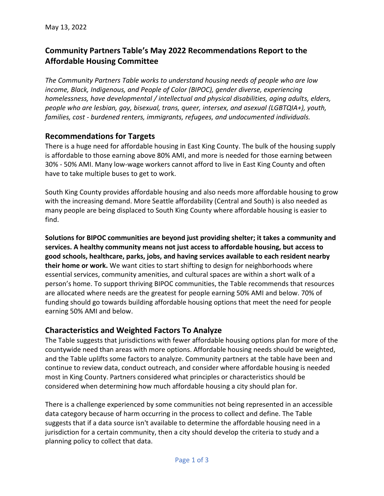# **Community Partners Table's May 2022 Recommendations Report to the Affordable Housing Committee**

*The Community Partners Table works to understand housing needs of people who are low income, Black, Indigenous, and People of Color (BIPOC), gender diverse, experiencing homelessness, have developmental / intellectual and physical disabilities, aging adults, elders, people who are lesbian, gay, bisexual, trans, queer, intersex, and asexual (LGBTQIA+), youth, families, cost - burdened renters, immigrants, refugees, and undocumented individuals.* 

## **Recommendations for Targets**

There is a huge need for affordable housing in East King County. The bulk of the housing supply is affordable to those earning above 80% AMI, and more is needed for those earning between 30% - 50% AMI. Many low-wage workers cannot afford to live in East King County and often have to take multiple buses to get to work.

South King County provides affordable housing and also needs more affordable housing to grow with the increasing demand. More Seattle affordability (Central and South) is also needed as many people are being displaced to South King County where affordable housing is easier to find.

**Solutions for BIPOC communities are beyond just providing shelter; it takes a community and services. A healthy community means not just access to affordable housing, but access to good schools, healthcare, parks, jobs, and having services available to each resident nearby their home or work.** We want cities to start shifting to design for neighborhoods where essential services, community amenities, and cultural spaces are within a short walk of a person's home. To support thriving BIPOC communities, the Table recommends that resources are allocated where needs are the greatest for people earning 50% AMI and below. 70% of funding should go towards building affordable housing options that meet the need for people earning 50% AMI and below.

# **Characteristics and Weighted Factors To Analyze**

The Table suggests that jurisdictions with fewer affordable housing options plan for more of the countywide need than areas with more options. Affordable housing needs should be weighted, and the Table uplifts some factors to analyze. Community partners at the table have been and continue to review data, conduct outreach, and consider where affordable housing is needed most in King County. Partners considered what principles or characteristics should be considered when determining how much affordable housing a city should plan for.

There is a challenge experienced by some communities not being represented in an accessible data category because of harm occurring in the process to collect and define. The Table suggests that if a data source isn't available to determine the affordable housing need in a jurisdiction for a certain community, then a city should develop the criteria to study and a planning policy to collect that data.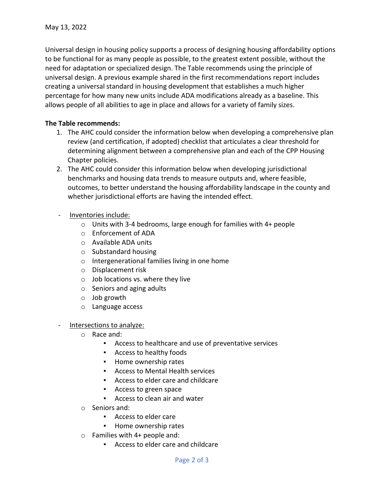Universal design in housing policy supports a process of designing housing affordability options to be functional for as many people as possible, to the greatest extent possible, without the need for adaptation or specialized design. The Table recommends using the principle of universal design. A previous example shared in the first recommendations report includes creating a universal standard in housing development that establishes a much higher percentage for how many new units include ADA modifications already as a baseline. This allows people of all abilities to age in place and allows for a variety of family sizes.

#### **The Table recommends:**

- 1. The AHC could consider the information below when developing a comprehensive plan review (and certification, if adopted) checklist that articulates a clear threshold for determining alignment between a comprehensive plan and each of the CPP Housing Chapter policies.
- 2. The AHC could consider this information below when developing jurisdictional benchmarks and housing data trends to measure outputs and, where feasible, outcomes, to better understand the housing affordability landscape in the county and whether jurisdictional efforts are having the intended effect.
- Inventories include:
	- o Units with 3-4 bedrooms, large enough for families with 4+ people
	- o Enforcement of ADA
	- o Available ADA units
	- o Substandard housing
	- o Intergenerational families living in one home
	- o Displacement risk
	- $\circ$  Job locations vs. where they live
	- o Seniors and aging adults
	- o Job growth
	- o Language access
- Intersections to analyze:
	- o Race and:
		- Access to healthcare and use of preventative services
		- Access to healthy foods
		- Home ownership rates
		- Access to Mental Health services
		- Access to elder care and childcare
		- Access to green space
		- Access to clean air and water
	- o Seniors and:
		- Access to elder care
		- Home ownership rates
	- o Families with 4+ people and:
		- Access to elder care and childcare